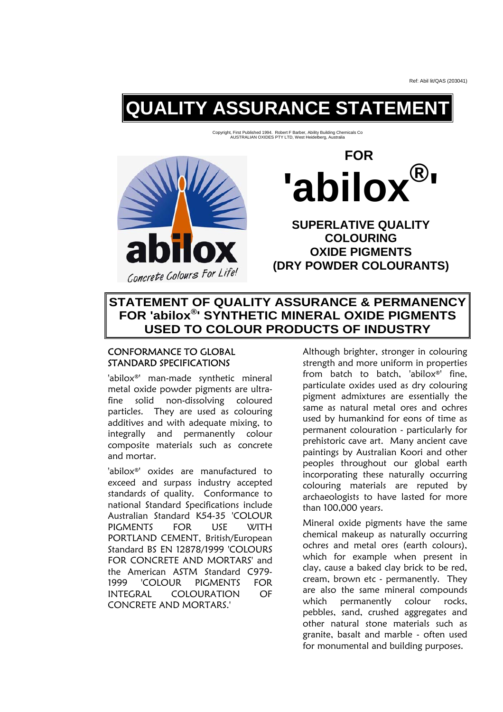# **QUALITY ASSURANCE STATEMENT**

Copyright, First Published 1994. Robert F Barber, Ability Building Chemicals Co AUSTRALIAN OXIDES PTY LTD, West Heidelberg, Australia



 **FOR**  'abilo**x '**

**SUPERLATIVE QUALITY COLOURING OXIDE PIGMENTS (DRY POWDER COLOURANTS)** 

## **STATEMENT OF QUALITY ASSURANCE & PERMANENCY FOR 'abilox®' SYNTHETIC MINERAL OXIDE PIGMENTS USED TO COLOUR PRODUCTS OF INDUSTRY**

### CONFORMANCE TO GLOBAL STANDARD SPECIFICATIONS

'abilox®' man-made synthetic mineral metal oxide powder pigments are ultrafine solid non-dissolving coloured particles. They are used as colouring additives and with adequate mixing, to integrally and permanently colour composite materials such as concrete and mortar.

'abilox®' oxides are manufactured to exceed and surpass industry accepted standards of quality. Conformance to national Standard Specifications include Australian Standard K54-35 'COLOUR PIGMENTS FOR USE WITH PORTLAND CEMENT, British/European Standard BS EN 12878/1999 'COLOURS FOR CONCRETE AND MORTARS' and the American ASTM Standard C979- 1999 'COLOUR PIGMENTS FOR INTEGRAL COLOURATION OF CONCRETE AND MORTARS.'

Although brighter, stronger in colouring strength and more uniform in properties from batch to batch, 'abilox®' fine, particulate oxides used as dry colouring pigment admixtures are essentially the same as natural metal ores and ochres used by humankind for eons of time as permanent colouration - particularly for prehistoric cave art. Many ancient cave paintings by Australian Koori and other peoples throughout our global earth incorporating these naturally occurring colouring materials are reputed by archaeologists to have lasted for more than 100,000 years.

Mineral oxide pigments have the same chemical makeup as naturally occurring ochres and metal ores (earth colours), which for example when present in clay, cause a baked clay brick to be red, cream, brown etc - permanently. They are also the same mineral compounds which permanently colour rocks, pebbles, sand, crushed aggregates and other natural stone materials such as granite, basalt and marble - often used for monumental and building purposes.